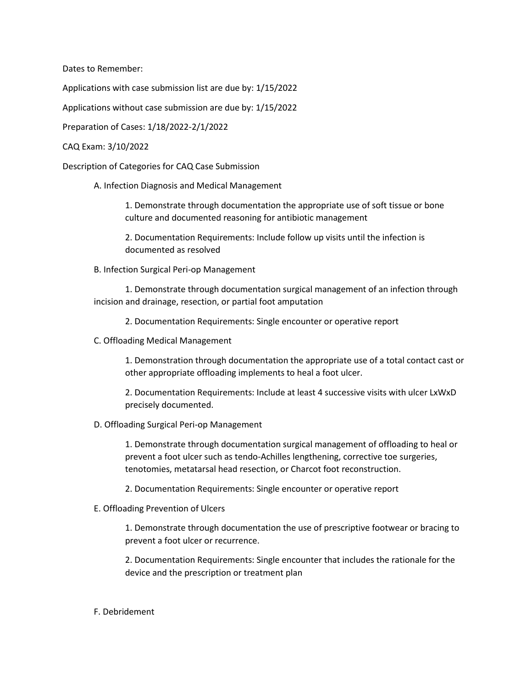Dates to Remember:

Applications with case submission list are due by: 1/15/2022

Applications without case submission are due by: 1/15/2022

Preparation of Cases: 1/18/2022-2/1/2022

## CAQ Exam: 3/10/2022

Description of Categories for CAQ Case Submission

A. Infection Diagnosis and Medical Management

1. Demonstrate through documentation the appropriate use of soft tissue or bone culture and documented reasoning for antibiotic management

2. Documentation Requirements: Include follow up visits until the infection is documented as resolved

B. Infection Surgical Peri-op Management

1. Demonstrate through documentation surgical management of an infection through incision and drainage, resection, or partial foot amputation

2. Documentation Requirements: Single encounter or operative report

C. Offloading Medical Management

1. Demonstration through documentation the appropriate use of a total contact cast or other appropriate offloading implements to heal a foot ulcer.

2. Documentation Requirements: Include at least 4 successive visits with ulcer LxWxD precisely documented.

## D. Offloading Surgical Peri-op Management

1. Demonstrate through documentation surgical management of offloading to heal or prevent a foot ulcer such as tendo-Achilles lengthening, corrective toe surgeries, tenotomies, metatarsal head resection, or Charcot foot reconstruction.

2. Documentation Requirements: Single encounter or operative report

E. Offloading Prevention of Ulcers

1. Demonstrate through documentation the use of prescriptive footwear or bracing to prevent a foot ulcer or recurrence.

2. Documentation Requirements: Single encounter that includes the rationale for the device and the prescription or treatment plan

## F. Debridement